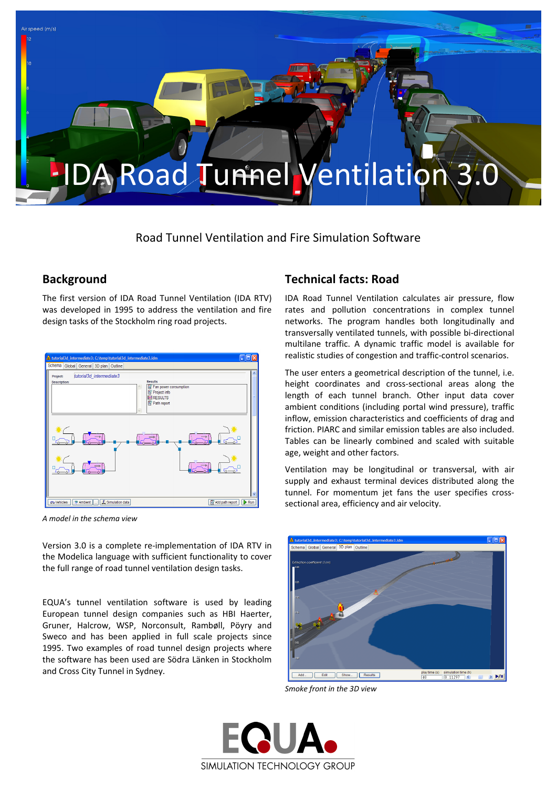

Road Tunnel Ventilation and Fire Simulation Software

## **Background**

The first version of IDA Road Tunnel Ventilation (IDA RTV) was developed in 1995 to address the ventilation and fire design tasks of the Stockholm ring road projects.



*A model in the schema view*

Version 3.0 is a complete re‐implementation of IDA RTV in the Modelica language with sufficient functionality to cover the full range of road tunnel ventilation design tasks.

EQUA's tunnel ventilation software is used by leading European tunnel design companies such as HBI Haerter, Gruner, Halcrow, WSP, Norconsult, Rambøll, Pöyry and Sweco and has been applied in full scale projects since 1995. Two examples of road tunnel design projects where the software has been used are Södra Länken in Stockholm and Cross City Tunnel in Sydney.

## **Technical facts: Road**

IDA Road Tunnel Ventilation calculates air pressure, flow rates and pollution concentrations in complex tunnel networks. The program handles both longitudinally and transversally ventilated tunnels, with possible bi‐directional multilane traffic. A dynamic traffic model is available for realistic studies of congestion and traffic‐control scenarios.

The user enters a geometrical description of the tunnel, i.e. height coordinates and cross‐sectional areas along the length of each tunnel branch. Other input data cover ambient conditions (including portal wind pressure), traffic inflow, emission characteristics and coefficients of drag and friction. PIARC and similar emission tables are also included. Tables can be linearly combined and scaled with suitable age, weight and other factors.

Ventilation may be longitudinal or transversal, with air supply and exhaust terminal devices distributed along the tunnel. For momentum jet fans the user specifies crosssectional area, efficiency and air velocity.



*Smoke front in the 3D view*